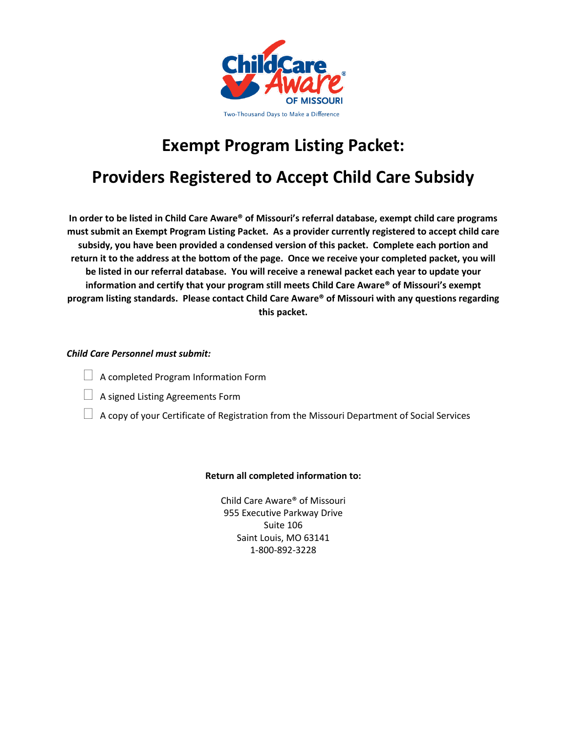

# **Exempt Program Listing Packet:**

## **Providers Registered to Accept Child Care Subsidy**

**In order to be listed in Child Care Aware® of Missouri's referral database, exempt child care programs must submit an Exempt Program Listing Packet. As a provider currently registered to accept child care subsidy, you have been provided a condensed version of this packet. Complete each portion and return it to the address at the bottom of the page. Once we receive your completed packet, you will be listed in our referral database. You will receive a renewal packet each year to update your information and certify that your program still meets Child Care Aware® of Missouri's exempt program listing standards. Please contact Child Care Aware® of Missouri with any questions regarding this packet.** 

#### *Child Care Personnel must submit:*

- $\Box$  A completed Program Information Form
- $\Box$  A signed Listing Agreements Form
- $\Box$  A copy of your Certificate of Registration from the Missouri Department of Social Services

#### **Return all completed information to:**

Child Care Aware® of Missouri 955 Executive Parkway Drive Suite 106 Saint Louis, MO 63141 1-800-892-3228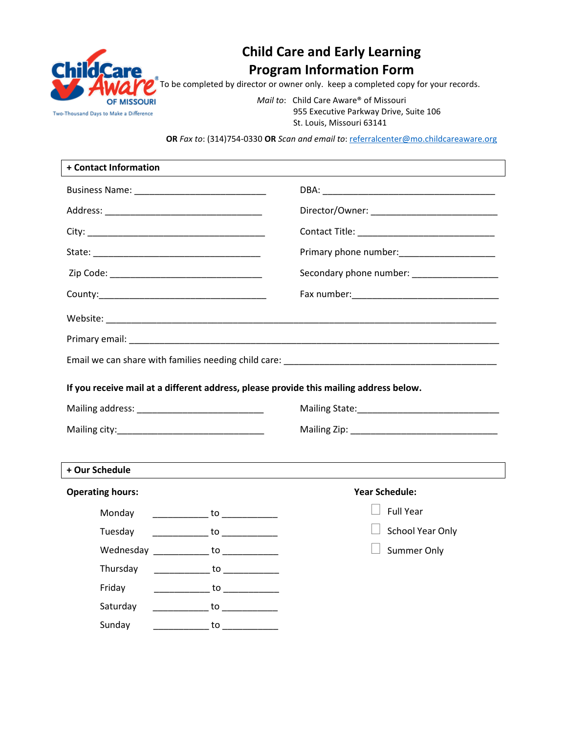

## **Child Care and Early Learning Program Information Form**

To be completed by director or owner only. keep a completed copy for your records.

*Mail to*: Child Care Aware® of Missouri 955 Executive Parkway Drive, Suite 106 St. Louis, Missouri 63141

**OR** *Fax to*: (314)754-0330 **OR** *Scan and email to*[: referralcenter@mo.childcareaware.org](mailto:referralcenter@mo.childcareaware.org)

| + Contact Information                                                                                 |                                        |                                                                                        |  |
|-------------------------------------------------------------------------------------------------------|----------------------------------------|----------------------------------------------------------------------------------------|--|
|                                                                                                       |                                        |                                                                                        |  |
|                                                                                                       |                                        |                                                                                        |  |
|                                                                                                       |                                        |                                                                                        |  |
|                                                                                                       |                                        | Primary phone number: _______________________                                          |  |
| Zip Code: National Code: National Code: National Code: National Code: National Code: National Code: N |                                        | Secondary phone number: Secondary phone number:                                        |  |
|                                                                                                       |                                        |                                                                                        |  |
|                                                                                                       |                                        |                                                                                        |  |
|                                                                                                       |                                        |                                                                                        |  |
|                                                                                                       |                                        |                                                                                        |  |
|                                                                                                       |                                        |                                                                                        |  |
|                                                                                                       |                                        | If you receive mail at a different address, please provide this mailing address below. |  |
|                                                                                                       |                                        |                                                                                        |  |
|                                                                                                       |                                        |                                                                                        |  |
|                                                                                                       |                                        |                                                                                        |  |
| + Our Schedule                                                                                        |                                        |                                                                                        |  |
| <b>Operating hours:</b>                                                                               |                                        | <b>Year Schedule:</b>                                                                  |  |
| Monday                                                                                                | ______________ to _____________        | <b>Full Year</b>                                                                       |  |
| Tuesday                                                                                               | ______________ to _____________        | School Year Only                                                                       |  |
|                                                                                                       | Wednesday _____________ to ___________ | Summer Only                                                                            |  |
| Thursday                                                                                              | ______________ to _____________        |                                                                                        |  |
| Friday                                                                                                | _______________ to _____________       |                                                                                        |  |
| Saturday                                                                                              |                                        |                                                                                        |  |
| Sunday                                                                                                | _____________ to ______________        |                                                                                        |  |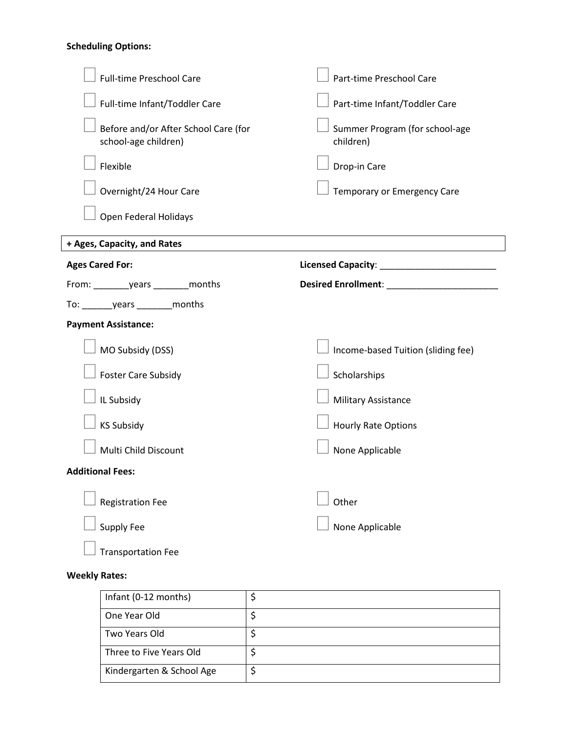#### **Scheduling Options:**

| <b>Full-time Preschool Care</b>                              | Part-time Preschool Care                                     |
|--------------------------------------------------------------|--------------------------------------------------------------|
| Full-time Infant/Toddler Care                                | Part-time Infant/Toddler Care                                |
| Before and/or After School Care (for<br>school-age children) | Summer Program (for school-age<br>children)                  |
| Flexible                                                     | Drop-in Care                                                 |
| Overnight/24 Hour Care                                       | Temporary or Emergency Care                                  |
| Open Federal Holidays                                        |                                                              |
| + Ages, Capacity, and Rates                                  |                                                              |
| <b>Ages Cared For:</b>                                       | Licensed Capacity: National Property of the Capacity:        |
|                                                              | Desired Enrollment: New York Processor and Security Assembly |
|                                                              |                                                              |
| <b>Payment Assistance:</b>                                   |                                                              |
| MO Subsidy (DSS)                                             | Income-based Tuition (sliding fee)                           |
| <b>Foster Care Subsidy</b>                                   | Scholarships                                                 |
| IL Subsidy                                                   | <b>Military Assistance</b>                                   |
| <b>KS Subsidy</b>                                            | <b>Hourly Rate Options</b>                                   |
| Multi Child Discount                                         | None Applicable                                              |
| <b>Additional Fees:</b>                                      |                                                              |
|                                                              | Other                                                        |
| <b>Registration Fee</b>                                      |                                                              |
| <b>Supply Fee</b>                                            | None Applicable                                              |

#### **Weekly Rates:**

| Infant (0-12 months)      |  |
|---------------------------|--|
| One Year Old              |  |
| Two Years Old             |  |
| Three to Five Years Old   |  |
| Kindergarten & School Age |  |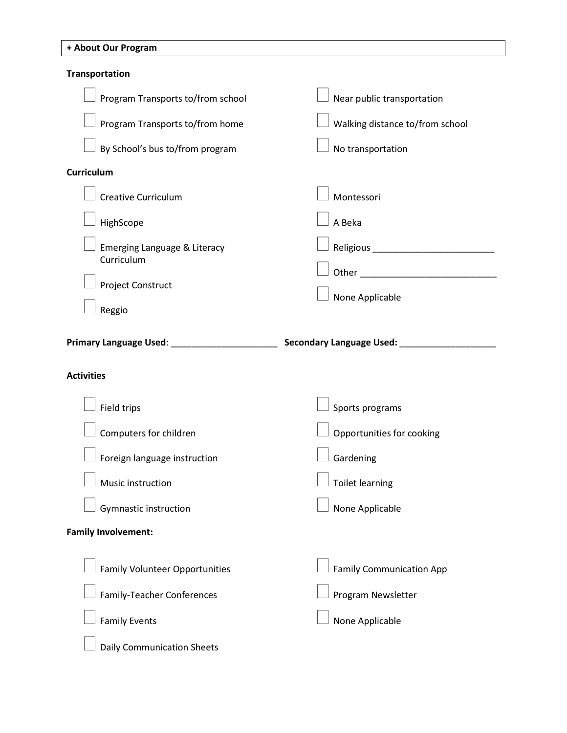#### **+ About Our Program**

| Transportation                                 |                                                                                                                                                                                                                                |
|------------------------------------------------|--------------------------------------------------------------------------------------------------------------------------------------------------------------------------------------------------------------------------------|
| Program Transports to/from school              | Near public transportation                                                                                                                                                                                                     |
| Program Transports to/from home                | Walking distance to/from school                                                                                                                                                                                                |
| By School's bus to/from program                | No transportation                                                                                                                                                                                                              |
| <b>Curriculum</b>                              |                                                                                                                                                                                                                                |
| <b>Creative Curriculum</b>                     | Montessori                                                                                                                                                                                                                     |
| HighScope                                      | A Beka                                                                                                                                                                                                                         |
| Emerging Language & Literacy                   | Religious experience and the set of the set of the set of the set of the set of the set of the set of the set of the set of the set of the set of the set of the set of the set of the set of the set of the set of the set of |
| Curriculum                                     |                                                                                                                                                                                                                                |
| Project Construct                              | None Applicable                                                                                                                                                                                                                |
| Reggio                                         |                                                                                                                                                                                                                                |
| Primary Language Used: _______________________ | Secondary Language Used: __________                                                                                                                                                                                            |
|                                                |                                                                                                                                                                                                                                |
| <b>Activities</b>                              |                                                                                                                                                                                                                                |
| Field trips                                    | Sports programs                                                                                                                                                                                                                |
| Computers for children                         | Opportunities for cooking                                                                                                                                                                                                      |
| Foreign language instruction                   | Gardening                                                                                                                                                                                                                      |
| Music instruction                              | <b>Toilet learning</b>                                                                                                                                                                                                         |
| Gymnastic instruction                          | None Applicable                                                                                                                                                                                                                |
| <b>Family Involvement:</b>                     |                                                                                                                                                                                                                                |
| <b>Family Volunteer Opportunities</b>          | <b>Family Communication App</b>                                                                                                                                                                                                |
| <b>Family-Teacher Conferences</b>              | Program Newsletter                                                                                                                                                                                                             |
| <b>Family Events</b>                           | None Applicable                                                                                                                                                                                                                |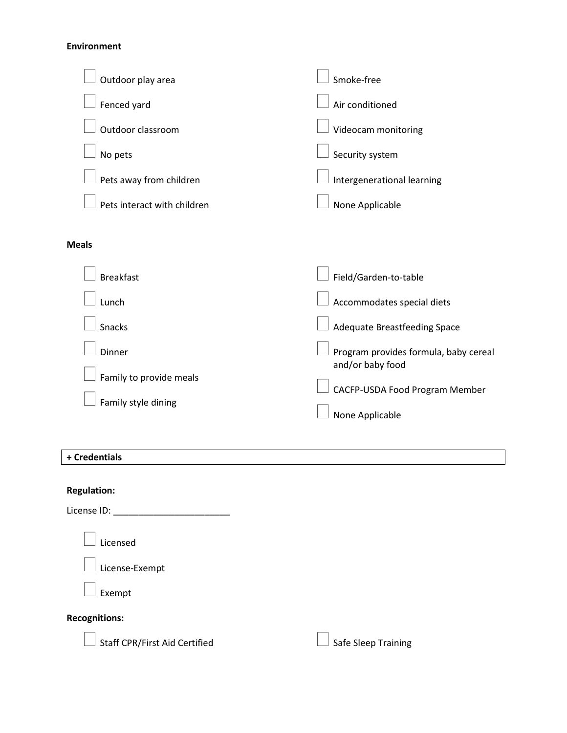#### **Environment**

| Outdoor play area           | Smoke-free                                                |
|-----------------------------|-----------------------------------------------------------|
| Fenced yard                 | Air conditioned                                           |
| Outdoor classroom           | Videocam monitoring                                       |
| No pets                     | Security system                                           |
| Pets away from children     | Intergenerational learning                                |
| Pets interact with children | None Applicable                                           |
| <b>Meals</b>                |                                                           |
| <b>Breakfast</b>            | Field/Garden-to-table                                     |
| Lunch                       | Accommodates special diets                                |
| Snacks                      | Adequate Breastfeeding Space                              |
| Dinner                      | Program provides formula, baby cereal<br>and/or baby food |
| Family to provide meals     | CACFP-USDA Food Program Member                            |
| Family style dining         | None Applicable                                           |

#### **+ Credentials**

## **Regulation:**

License ID: \_\_\_\_\_\_\_\_\_\_\_\_\_\_\_\_\_\_\_\_\_\_\_

Licensed

 $\perp$  License-Exempt

Exempt

#### **Recognitions:**

 $\Box$  Staff CPR/First Aid Certified

|  | $\Box$ Safe Sleep Training |
|--|----------------------------|
|  |                            |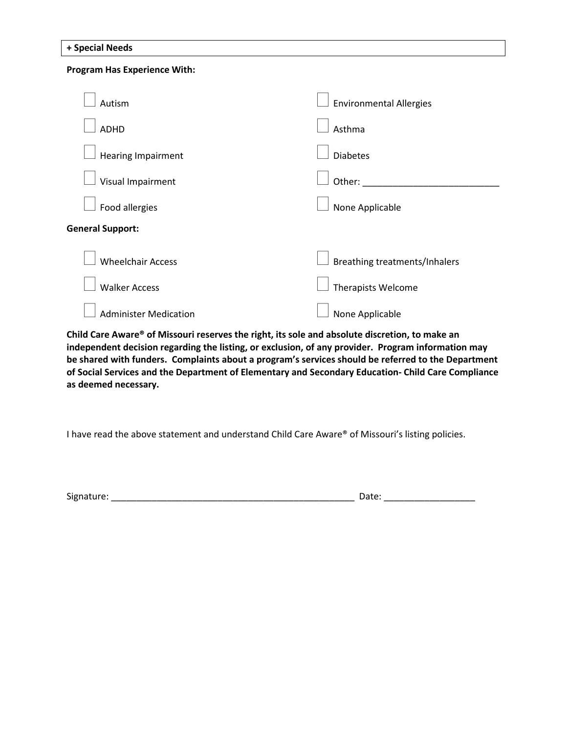|  |  |  | + Special Needs |
|--|--|--|-----------------|
|--|--|--|-----------------|

### **Program Has Experience With:**  Autism ADHD Hearing Impairment Visual Impairment Food allergies Environmental Allergies Asthma Diabetes Other: \_\_\_\_\_\_\_\_\_\_\_\_\_\_\_\_\_\_\_\_\_\_\_\_\_\_\_ None Applicable **General Support:** Wheelchair Access Breathing treatments/Inhalers

Administer Medication

Walker Access

**Child Care Aware® of Missouri reserves the right, its sole and absolute discretion, to make an independent decision regarding the listing, or exclusion, of any provider. Program information may be shared with funders. Complaints about a program's services should be referred to the Department of Social Services and the Department of Elementary and Secondary Education- Child Care Compliance as deemed necessary.**

I have read the above statement and understand Child Care Aware® of Missouri's listing policies.

Signature: \_\_\_\_\_\_\_\_\_\_\_\_\_\_\_\_\_\_\_\_\_\_\_\_\_\_\_\_\_\_\_\_\_\_\_\_\_\_\_\_\_\_\_\_\_\_\_\_ Date: \_\_\_\_\_\_\_\_\_\_\_\_\_\_\_\_\_\_

Therapists Welcome

None Applicable